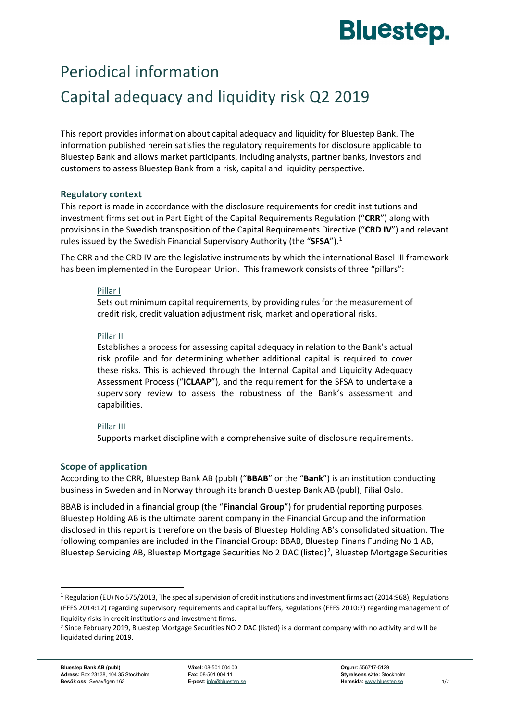# **Bluestep.**

## Periodical information

## Capital adequacy and liquidity risk Q2 2019

This report provides information about capital adequacy and liquidity for Bluestep Bank. The information published herein satisfies the regulatory requirements for disclosure applicable to Bluestep Bank and allows market participants, including analysts, partner banks, investors and customers to assess Bluestep Bank from a risk, capital and liquidity perspective.

#### **Regulatory context**

This report is made in accordance with the disclosure requirements for credit institutions and investment firms set out in Part Eight of the Capital Requirements Regulation ("**CRR**") along with provisions in the Swedish transposition of the Capital Requirements Directive ("**CRD IV**") and relevant rules issued by the Swedish Financial Supervisory Authority (the "**SFSA**").[1](#page-0-0)

The CRR and the CRD IV are the legislative instruments by which the international Basel III framework has been implemented in the European Union. This framework consists of three "pillars":

#### Pillar I

Sets out minimum capital requirements, by providing rules for the measurement of credit risk, credit valuation adjustment risk, market and operational risks.

#### Pillar II

Establishes a process for assessing capital adequacy in relation to the Bank's actual risk profile and for determining whether additional capital is required to cover these risks. This is achieved through the Internal Capital and Liquidity Adequacy Assessment Process ("**ICLAAP**"), and the requirement for the SFSA to undertake a supervisory review to assess the robustness of the Bank's assessment and capabilities.

#### Pillar III

Supports market discipline with a comprehensive suite of disclosure requirements.

#### **Scope of application**

According to the CRR, Bluestep Bank AB (publ) ("**BBAB**" or the "**Bank**") is an institution conducting business in Sweden and in Norway through its branch Bluestep Bank AB (publ), Filial Oslo.

BBAB is included in a financial group (the "**Financial Group**") for prudential reporting purposes. Bluestep Holding AB is the ultimate parent company in the Financial Group and the information disclosed in this report is therefore on the basis of Bluestep Holding AB's consolidated situation. The following companies are included in the Financial Group: BBAB, Bluestep Finans Funding No 1 AB, Bluestep Servicing AB, Bluestep Mortgage Securities No [2](#page-0-1) DAC (listed)<sup>2</sup>, Bluestep Mortgage Securities

<span id="page-0-0"></span> $1$  Regulation (EU) No 575/2013. The special supervision of credit institutions and investment firms act (2014:968). Regulations (FFFS 2014:12) regarding supervisory requirements and capital buffers, Regulations (FFFS 2010:7) regarding management of liquidity risks in credit institutions and investment firms.

<span id="page-0-1"></span><sup>&</sup>lt;sup>2</sup> Since February 2019, Bluestep Mortgage Securities NO 2 DAC (listed) is a dormant company with no activity and will be liquidated during 2019.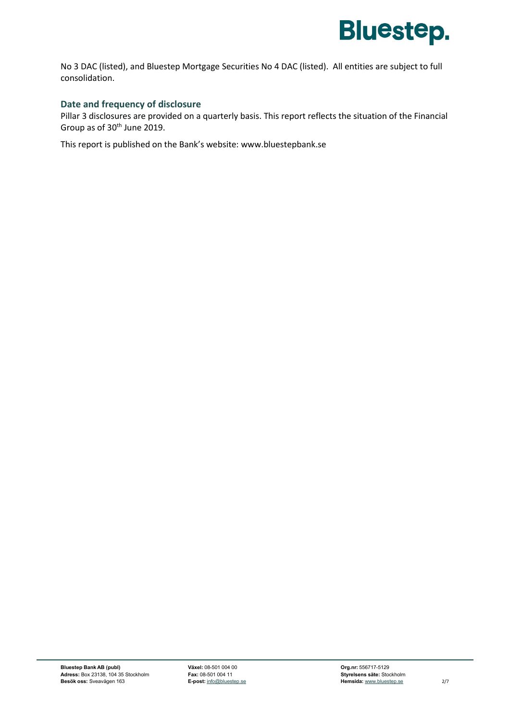

No 3 DAC (listed), and Bluestep Mortgage Securities No 4 DAC (listed). All entities are subject to full consolidation.

#### **Date and frequency of disclosure**

Pillar 3 disclosures are provided on a quarterly basis. This report reflects the situation of the Financial Group as of 30th June 2019.

This report is published on the Bank's website: [www.bluestepbank.se](http://www.bluestepbank.se/)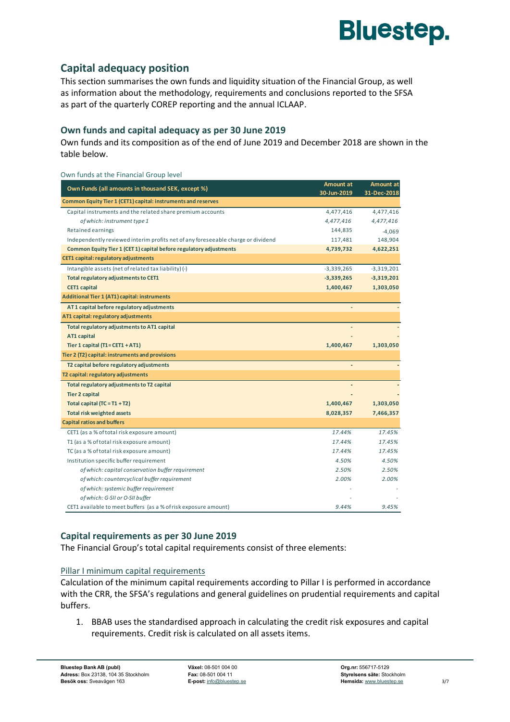

### **Capital adequacy position**

This section summarises the own funds and liquidity situation of the Financial Group, as well as information about the methodology, requirements and conclusions reported to the SFSA as part of the quarterly COREP reporting and the annual ICLAAP.

#### **Own funds and capital adequacy as per 30 June 2019**

Own funds and its composition as of the end of June 2019 and December 2018 are shown in the table below.

| Own funds at the Financial Group level                                           |              |                  |
|----------------------------------------------------------------------------------|--------------|------------------|
|                                                                                  | Amount at    | <b>Amount at</b> |
| Own Funds (all amounts in thousand SEK, except %)                                | 30-Jun-2019  | 31-Dec-2018      |
| Common Equity Tier 1 (CET1) capital: instruments and reserves                    |              |                  |
| Capital instruments and the related share premium accounts                       | 4,477,416    | 4,477,416        |
| of which: instrument type 1                                                      | 4,477,416    | 4,477,416        |
| Retained earnings                                                                | 144,835      | $-4,069$         |
| Independently reviewed interim profits net of any foreseeable charge or dividend | 117,481      | 148,904          |
| Common Equity Tier 1 (CET 1) capital before regulatory adjustments               | 4,739,732    | 4,622,251        |
| CET1 capital: regulatory adjustments                                             |              |                  |
| Intangible assets (net of related tax liability) (-)                             | $-3,339,265$ | $-3,319,201$     |
| Total regulatory adjustments to CET1                                             | $-3,339,265$ | $-3,319,201$     |
| <b>CET1 capital</b>                                                              | 1,400,467    | 1,303,050        |
| <b>Additional Tier 1 (AT1) capital: instruments</b>                              |              |                  |
| AT1 capital before regulatory adjustments                                        |              |                  |
| AT1 capital: regulatory adjustments                                              |              |                  |
| Total regulatory adjustments to AT1 capital                                      |              |                  |
| AT1 capital                                                                      |              |                  |
| Tier 1 capital $(T1 = CET1 + AT1)$                                               | 1,400,467    | 1,303,050        |
| Tier 2 (T2) capital: instruments and provisions                                  |              |                  |
| T2 capital before regulatory adjustments                                         |              |                  |
| T2 capital: regulatory adjustments                                               |              |                  |
| Total regulatory adjustments to T2 capital                                       |              |                  |
| <b>Tier 2 capital</b>                                                            |              |                  |
| Total capital $(TC = T1 + T2)$                                                   | 1,400,467    | 1,303,050        |
| <b>Total risk weighted assets</b>                                                | 8,028,357    | 7,466,357        |
| <b>Capital ratios and buffers</b>                                                |              |                  |
| CET1 (as a % of total risk exposure amount)                                      | 17.44%       | 17.45%           |
| T1 (as a % of total risk exposure amount)                                        | 17.44%       | 17.45%           |
| TC (as a % of total risk exposure amount)                                        | 17.44%       | 17.45%           |
| Institution specific buffer requirement                                          | 4.50%        | 4.50%            |
| of which: capital conservation buffer requirement                                | 2.50%        | 2.50%            |
| of which: countercyclical buffer requirement                                     | 2.00%        | 2.00%            |
| of which: systemic buffer requirement                                            |              |                  |
| of which: G-SII or O-SII buffer                                                  |              |                  |
| CET1 available to meet buffers (as a % of risk exposure amount)                  | 9.44%        | 9.45%            |

#### **Capital requirements as per 30 June 2019**

The Financial Group's total capital requirements consist of three elements:

#### Pillar I minimum capital requirements

Calculation of the minimum capital requirements according to Pillar I is performed in accordance with the CRR, the SFSA's regulations and general guidelines on prudential requirements and capital buffers.

1. BBAB uses the standardised approach in calculating the credit risk exposures and capital requirements. Credit risk is calculated on all assets items.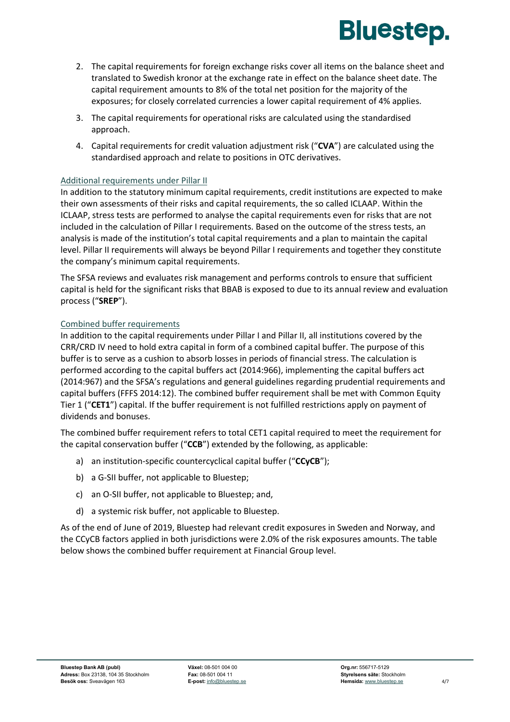

- 2. The capital requirements for foreign exchange risks cover all items on the balance sheet and translated to Swedish kronor at the exchange rate in effect on the balance sheet date. The capital requirement amounts to 8% of the total net position for the majority of the exposures; for closely correlated currencies a lower capital requirement of 4% applies.
- 3. The capital requirements for operational risks are calculated using the standardised approach.
- 4. Capital requirements for credit valuation adjustment risk ("**CVA**") are calculated using the standardised approach and relate to positions in OTC derivatives.

#### Additional requirements under Pillar II

In addition to the statutory minimum capital requirements, credit institutions are expected to make their own assessments of their risks and capital requirements, the so called ICLAAP. Within the ICLAAP, stress tests are performed to analyse the capital requirements even for risks that are not included in the calculation of Pillar I requirements. Based on the outcome of the stress tests, an analysis is made of the institution's total capital requirements and a plan to maintain the capital level. Pillar II requirements will always be beyond Pillar I requirements and together they constitute the company's minimum capital requirements.

The SFSA reviews and evaluates risk management and performs controls to ensure that sufficient capital is held for the significant risks that BBAB is exposed to due to its annual review and evaluation process ("**SREP**").

#### Combined buffer requirements

In addition to the capital requirements under Pillar I and Pillar II, all institutions covered by the CRR/CRD IV need to hold extra capital in form of a combined capital buffer. The purpose of this buffer is to serve as a cushion to absorb losses in periods of financial stress. The calculation is performed according to the capital buffers act (2014:966), implementing the capital buffers act (2014:967) and the SFSA's regulations and general guidelines regarding prudential requirements and capital buffers (FFFS 2014:12). The combined buffer requirement shall be met with Common Equity Tier 1 ("**CET1**") capital. If the buffer requirement is not fulfilled restrictions apply on payment of dividends and bonuses.

The combined buffer requirement refers to total CET1 capital required to meet the requirement for the capital conservation buffer ("**CCB**") extended by the following, as applicable:

- a) an institution-specific countercyclical capital buffer ("**CCyCB**");
- b) a G-SII buffer, not applicable to Bluestep;
- c) an O-SII buffer, not applicable to Bluestep; and,
- d) a systemic risk buffer, not applicable to Bluestep.

As of the end of June of 2019, Bluestep had relevant credit exposures in Sweden and Norway, and the CCyCB factors applied in both jurisdictions were 2.0% of the risk exposures amounts. The table below shows the combined buffer requirement at Financial Group level.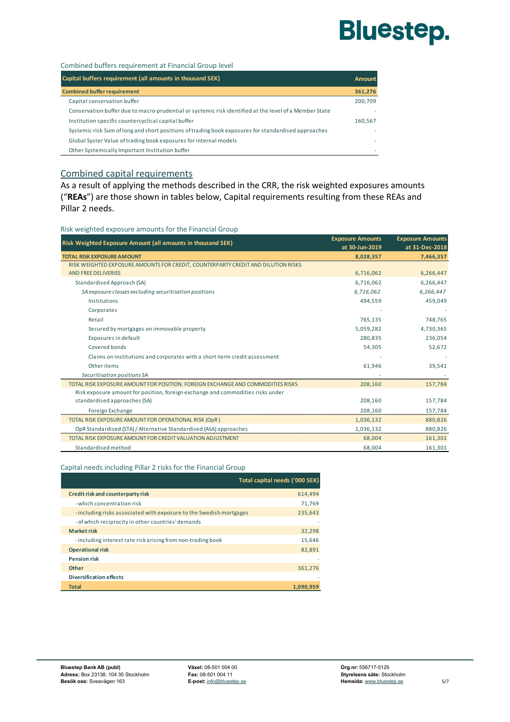# **Bluestep.**

#### Combined buffers requirement at Financial Group level

| Capital buffers requirement (all amounts in thousand SEK)                                              | Amount  |
|--------------------------------------------------------------------------------------------------------|---------|
| <b>Combined buffer requirement</b>                                                                     | 361,276 |
| Capital conservation buffer                                                                            | 200,709 |
| Conservation buffer due to macro-prudential or systemic risk identified at the level of a Member State | ٠       |
| Institution specific countercyclical capital buffer                                                    | 160.567 |
| Systemic risk Sum of long and short positions of trading book exposures for standardised approaches    | ٠       |
| Global Syster Value of trading book exposures for internal models                                      |         |
| Other Systemically Important Institution buffer                                                        |         |

#### Combined capital requirements

As a result of applying the methods described in the CRR, the risk weighted exposures amounts ("**REAs**") are those shown in tables below, Capital requirements resulting from these REAs and Pillar 2 needs.

Risk weighted exposure amounts for the Financial Group

| Risk Weighted Exposure Amount (all amounts in thousand SEK)                       | <b>Exposure Amounts</b> | <b>Exposure Amounts</b> |
|-----------------------------------------------------------------------------------|-------------------------|-------------------------|
|                                                                                   | at 30-Jun-2019          | at 31-Dec-2018          |
| <b>TOTAL RISK EXPOSURE AMOUNT</b>                                                 | 8,028,357               | 7,466,357               |
| RISK WEIGHTED EXPOSURE AMOUNTS FOR CREDIT. COUNTERPARTY CREDIT AND DILUTION RISKS |                         |                         |
| <b>AND FREE DELIVERIES</b>                                                        | 6,716,062               | 6,266,447               |
| Standardised Approach (SA)                                                        | 6,716,062               | 6,266,447               |
| SA exposure classes excluding securitisation positions                            | 6,716,062               | 6,266,447               |
| Institutions                                                                      | 494,559                 | 459,049                 |
| Corporates                                                                        |                         |                         |
| Retail                                                                            | 765,135                 | 748,765                 |
| Secured by mortgages on immovable property                                        | 5,059,282               | 4,730,365               |
| Exposures in default                                                              | 280,835                 | 236,054                 |
| Covered bonds                                                                     | 54,305                  | 52,672                  |
| Claims on institutions and corporates with a short-term credit assessment         |                         |                         |
| Other items                                                                       | 61,946                  | 39,541                  |
| Securitisation positions SA                                                       |                         |                         |
| TOTAL RISK EXPOSURE AMOUNT FOR POSITION, FOREIGN EXCHANGE AND COMMODITIES RISKS   | 208,160                 | 157,784                 |
| Risk exposure amount for position, foreign exchange and commodities risks under   |                         |                         |
| standardised approaches (SA)                                                      | 208,160                 | 157,784                 |
| Foreign Exchange                                                                  | 208,160                 | 157,784                 |
| TOTAL RISK EXPOSURE AMOUNT FOR OPERATIONAL RISK (OpR)                             | 1,036,132               | 880,826                 |
| OpR Standardised (STA) / Alternative Standardised (ASA) approaches                | 1,036,132               | 880,826                 |
| TOTAL RISK EXPOSURE AMOUNT FOR CREDIT VALUATION ADJUSTMENT                        | 68,004                  | 161,301                 |
| Standardised method                                                               | 68,004                  | 161,301                 |

#### Capital needs including Pillar 2 risks for the Financial Group

|                                                                     | Total capital needs ('000 SEK) |
|---------------------------------------------------------------------|--------------------------------|
| Credit risk and counterparty risk                                   | 614,494                        |
| - which concentration risk                                          | 71,769                         |
| - including risks associated with exposure to the Swedish mortgages | 235,643                        |
| - of which reciprocity in other countries' demands                  |                                |
| <b>Market risk</b>                                                  | 32,298                         |
| - including interest rate risk arising from non-trading book        | 15,646                         |
| <b>Operational risk</b>                                             | 82,891                         |
| <b>Pension risk</b>                                                 |                                |
| Other                                                               | 361,276                        |
| <b>Diversification effects</b>                                      |                                |
| <b>Total</b>                                                        | 1.090.959                      |
|                                                                     |                                |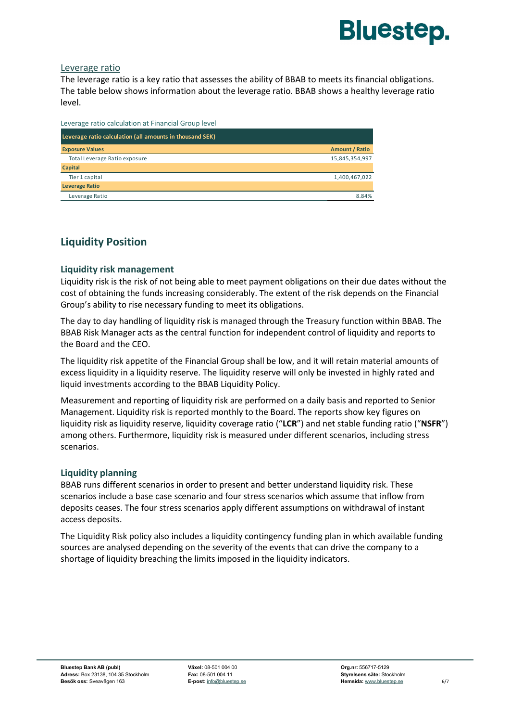

#### Leverage ratio

The leverage ratio is a key ratio that assesses the ability of BBAB to meets its financial obligations. The table below shows information about the leverage ratio. BBAB shows a healthy leverage ratio level.

| Leverage ratio calculation at Financial Group level      |                |
|----------------------------------------------------------|----------------|
| Leverage ratio calculation (all amounts in thousand SEK) |                |
| <b>Exposure Values</b>                                   | Amount / Ratio |
| Total Leverage Ratio exposure                            | 15,845,354,997 |
| Capital                                                  |                |
| Tier 1 capital                                           | 1,400,467,022  |
| <b>Leverage Ratio</b>                                    |                |
| Leverage Ratio                                           | 8.84%          |

### **Liquidity Position**

#### **Liquidity risk management**

Liquidity risk is the risk of not being able to meet payment obligations on their due dates without the cost of obtaining the funds increasing considerably. The extent of the risk depends on the Financial Group's ability to rise necessary funding to meet its obligations.

The day to day handling of liquidity risk is managed through the Treasury function within BBAB. The BBAB Risk Manager acts as the central function for independent control of liquidity and reports to the Board and the CEO.

The liquidity risk appetite of the Financial Group shall be low, and it will retain material amounts of excess liquidity in a liquidity reserve. The liquidity reserve will only be invested in highly rated and liquid investments according to the BBAB Liquidity Policy.

Measurement and reporting of liquidity risk are performed on a daily basis and reported to Senior Management. Liquidity risk is reported monthly to the Board. The reports show key figures on liquidity risk as liquidity reserve, liquidity coverage ratio ("**LCR**") and net stable funding ratio ("**NSFR**") among others. Furthermore, liquidity risk is measured under different scenarios, including stress scenarios.

#### **Liquidity planning**

BBAB runs different scenarios in order to present and better understand liquidity risk. These scenarios include a base case scenario and four stress scenarios which assume that inflow from deposits ceases. The four stress scenarios apply different assumptions on withdrawal of instant access deposits.

The Liquidity Risk policy also includes a liquidity contingency funding plan in which available funding sources are analysed depending on the severity of the events that can drive the company to a shortage of liquidity breaching the limits imposed in the liquidity indicators.